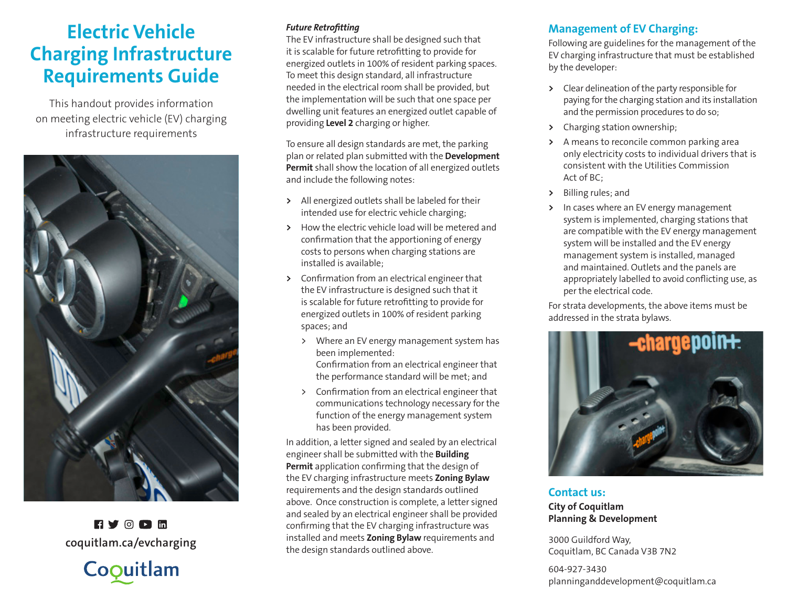# **Electric Vehicle Charging Infrastructure Requirements Guide**

This handout provides information on meeting electric vehicle (EV) charging infrastructure requirements



 $H Y$  of  $\overline{h}$ 



#### *Future Retrofitting*

The EV infrastructure shall be designed such that it is scalable for future retrofitting to provide for energized outlets in 100% of resident parking spaces. To meet this design standard, all infrastructure needed in the electrical room shall be provided, but the implementation will be such that one space per dwelling unit features an energized outlet capable of providing **Level 2** charging or higher.

To ensure all design standards are met, the parking plan or related plan submitted with the **Development Permit** shall show the location of all energized outlets and include the following notes:

- **>** All energized outlets shall be labeled for their intended use for electric vehicle charging;
- **>** How the electric vehicle load will be metered and confirmation that the apportioning of energy costs to persons when charging stations are installed is available;
- **>** Confirmation from an electrical engineer that the EV infrastructure is designed such that it is scalable for future retrofitting to provide for energized outlets in 100% of resident parking spaces; and
	- > Where an EV energy management system has been implemented:

Confirmation from an electrical engineer that the performance standard will be met; and

> Confirmation from an electrical engineer that communications technology necessary for the function of the energy management system has been provided.

In addition, a letter signed and sealed by an electrical engineer shall be submitted with the **Building Permit** application confirming that the design of the EV charging infrastructure meets **Zoning Bylaw**  requirements and the design standards outlined above. Once construction is complete, a letter signed and sealed by an electrical engineer shall be provided confirming that the EV charging infrastructure was installed and meets **Zoning Bylaw** requirements and the design standards outlined above. **coquitlam.ca/evcharging**

## **Management of EV Charging:**

Following are guidelines for the management of the EV charging infrastructure that must be established by the developer:

- **>** Clear delineation of the party responsible for paying for the charging station and its installation and the permission procedures to do so;
- **>** Charging station ownership;
- **>** A means to reconcile common parking area only electricity costs to individual drivers that is consistent with the Utilities Commission Act of BC;
- **>** Billing rules; and
- **>** In cases where an EV energy management system is implemented, charging stations that are compatible with the EV energy management system will be installed and the EV energy management system is installed, managed and maintained. Outlets and the panels are appropriately labelled to avoid conflicting use, as per the electrical code.

For strata developments, the above items must be addressed in the strata bylaws.



**Contact us: City of Coquitlam Planning & Development**

3000 Guildford Way, Coquitlam, BC Canada V3B 7N2

604-927-3430 planninganddevelopment@coquitlam.ca